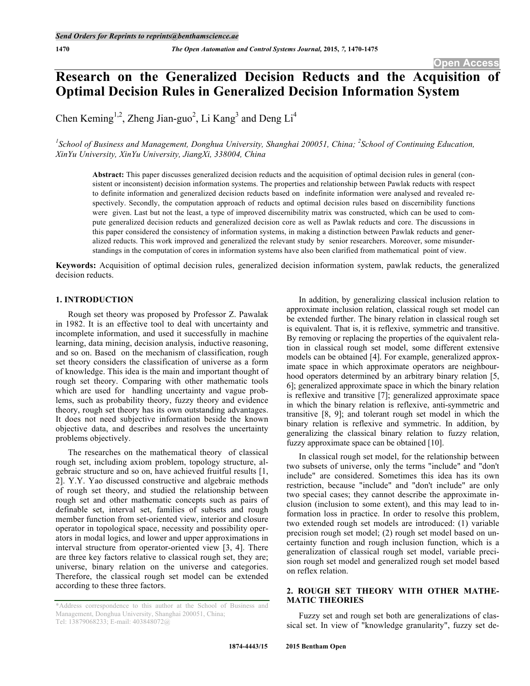# **Research on the Generalized Decision Reducts and the Acquisition of Optimal Decision Rules in Generalized Decision Information System**

Chen Keming<sup>1,2</sup>, Zheng Jian-guo<sup>2</sup>, Li Kang<sup>3</sup> and Deng Li<sup>4</sup>

*1 School of Business and Management, Donghua University, Shanghai 200051, China; <sup>2</sup> School of Continuing Education, XinYu University, XinYu University, JiangXi, 338004, China*

**Abstract:** This paper discusses generalized decision reducts and the acquisition of optimal decision rules in general (consistent or inconsistent) decision information systems. The properties and relationship between Pawlak reducts with respect to definite information and generalized decision reducts based on indefinite information were analysed and revealed respectively. Secondly, the computation approach of reducts and optimal decision rules based on discernibility functions were given. Last but not the least, a type of improved discernibility matrix was constructed, which can be used to compute generalized decision reducts and generalized decision core as well as Pawlak reducts and core. The discussions in this paper considered the consistency of information systems, in making a distinction between Pawlak reducts and generalized reducts. This work improved and generalized the relevant study by senior researchers. Moreover, some misunderstandings in the computation of cores in information systems have also been clarified from mathematical point of view.

**Keywords:** Acquisition of optimal decision rules, generalized decision information system, pawlak reducts, the generalized decision reducts.

# **1. INTRODUCTION**

Rough set theory was proposed by Professor Z. Pawalak in 1982. It is an effective tool to deal with uncertainty and incomplete information, and used it successfully in machine learning, data mining, decision analysis, inductive reasoning, and so on. Based on the mechanism of classification, rough set theory considers the classification of universe as a form of knowledge. This idea is the main and important thought of rough set theory. Comparing with other mathematic tools which are used for handling uncertainty and vague problems, such as probability theory, fuzzy theory and evidence theory, rough set theory has its own outstanding advantages. It does not need subjective information beside the known objective data, and describes and resolves the uncertainty problems objectively.

The researches on the mathematical theory of classical rough set, including axiom problem, topology structure, algebraic structure and so on, have achieved fruitful results [1, 2]. Y.Y. Yao discussed constructive and algebraic methods of rough set theory, and studied the relationship between rough set and other mathematic concepts such as pairs of definable set, interval set, families of subsets and rough member function from set-oriented view, interior and closure operator in topological space, necessity and possibility operators in modal logics, and lower and upper approximations in interval structure from operator-oriented view [3, 4]. There are three key factors relative to classical rough set, they are; universe, binary relation on the universe and categories. Therefore, the classical rough set model can be extended according to these three factors.

In addition, by generalizing classical inclusion relation to approximate inclusion relation, classical rough set model can be extended further. The binary relation in classical rough set is equivalent. That is, it is reflexive, symmetric and transitive. By removing or replacing the properties of the equivalent relation in classical rough set model, some different extensive models can be obtained [4]. For example, generalized approximate space in which approximate operators are neighbourhood operators determined by an arbitrary binary relation [5, 6]; generalized approximate space in which the binary relation is reflexive and transitive [7]; generalized approximate space in which the binary relation is reflexive, anti-symmetric and transitive [8, 9]; and tolerant rough set model in which the binary relation is reflexive and symmetric. In addition, by generalizing the classical binary relation to fuzzy relation, fuzzy approximate space can be obtained [10].

In classical rough set model, for the relationship between two subsets of universe, only the terms "include" and "don't include" are considered. Sometimes this idea has its own restriction, because "include" and "don't include" are only two special cases; they cannot describe the approximate inclusion (inclusion to some extent), and this may lead to information loss in practice. In order to resolve this problem, two extended rough set models are introduced: (1) variable precision rough set model; (2) rough set model based on uncertainty function and rough inclusion function, which is a generalization of classical rough set model, variable precision rough set model and generalized rough set model based on reflex relation.

# **2. ROUGH SET THEORY WITH OTHER MATHE-MATIC THEORIES**

Fuzzy set and rough set both are generalizations of classical set. In view of "knowledge granularity", fuzzy set de-

<sup>\*</sup>Address correspondence to this author at the School of Business and Management, Donghua University, Shanghai 200051, China; Tel: 13879068233; E-mail: 403848072@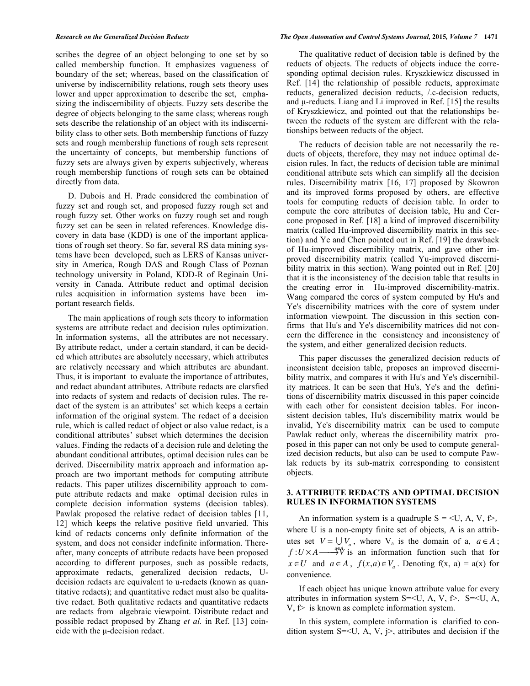scribes the degree of an object belonging to one set by so called membership function. It emphasizes vagueness of boundary of the set; whereas, based on the classification of universe by indiscernibility relations, rough sets theory uses lower and upper approximation to describe the set, emphasizing the indiscernibility of objects. Fuzzy sets describe the degree of objects belonging to the same class; whereas rough sets describe the relationship of an object with its indiscernibility class to other sets. Both membership functions of fuzzy sets and rough membership functions of rough sets represent the uncertainty of concepts, but membership functions of fuzzy sets are always given by experts subjectively, whereas rough membership functions of rough sets can be obtained directly from data.

D. Dubois and H. Prade considered the combination of fuzzy set and rough set, and proposed fuzzy rough set and rough fuzzy set. Other works on fuzzy rough set and rough fuzzy set can be seen in related references. Knowledge discovery in data base (KDD) is one of the important applications of rough set theory. So far, several RS data mining systems have been developed, such as LERS of Kansas university in America, Rough DAS and Rough Class of Poznan technology university in Poland, KDD-R of Reginain University in Canada. Attribute reduct and optimal decision rules acquisition in information systems have been important research fields.

The main applications of rough sets theory to information systems are attribute redact and decision rules optimization. In information systems, all the attributes are not necessary. By attribute redact, under a certain standard, it can be decided which attributes are absolutely necessary, which attributes are relatively necessary and which attributes are abundant. Thus, it is important to evaluate the importance of attributes, and redact abundant attributes. Attribute redacts are clarsfied into redacts of system and redacts of decision rules. The redact of the system is an attributes' set which keeps a certain information of the original system. The redact of a decision rule, which is called redact of object or also value redact, is a conditional attributes' subset which determines the decision values. Finding the redacts of a decision rule and deleting the abundant conditional attributes, optimal decision rules can be derived. Discernibility matrix approach and information approach are two important methods for computing attribute redacts. This paper utilizes discernibility approach to compute attribute redacts and make optimal decision rules in complete decision information systems (decision tables). Pawlak proposed the relative redact of decision tables [11, 12] which keeps the relative positive field unvaried. This kind of redacts concerns only definite information of the system, and does not consider indefinite information. Thereafter, many concepts of attribute redacts have been proposed according to different purposes, such as possible redacts, approximate redacts, generalized decision redacts, Udecision redacts are equivalent to u-redacts (known as quantitative redacts); and quantitative redact must also be qualitative redact. Both qualitative redacts and quantitative redacts are redacts from algebraic viewpoint. Distribute redact and possible redact proposed by Zhang *et al.* in Ref. [13] coincide with the µ-decision redact.

### *Research on the Generalized Decision Reducts The Open Automation and Control Systems Journal,* **2015***, Volume 7* **1471**

The qualitative reduct of decision table is defined by the reducts of objects. The reducts of objects induce the corresponding optimal decision rules. Kryszkiewicz discussed in Ref. [14] the relationship of possible reducts, approximate reducts, generalized decision reducts, /.c-decision reducts, and  $\mu$ -reducts. Liang and Li improved in Ref. [15] the results of Kryszkiewicz, and pointed out that the relationships between the reducts of the system are different with the relationships between reducts of the object.

The reducts of decision table are not necessarily the reducts of objects, therefore, they may not induce optimal decision rules. In fact, the reducts of decision table are minimal conditional attribute sets which can simplify all the decision rules. Discernibility matrix [16, 17] proposed by Skowron and its improved forms proposed by others, are effective tools for computing reducts of decision table. In order to compute the core attributes of decision table, Hu and Cercone proposed in Ref. [18] a kind of improved discernibility matrix (called Hu-improved discernibility matrix in this section) and Ye and Chen pointed out in Ref. [19] the drawback of Hu-improved discernibility matrix, and gave other improved discernibility matrix (called Yu-improved discernibility matrix in this section). Wang pointed out in Ref. [20] that it is the inconsistency of the decision table that results in the creating error in Hu-improved discernibility-matrix. Wang compared the cores of system computed by Hu's and Ye's discernibility matrices with the core of system under information viewpoint. The discussion in this section confirms that Hu's and Ye's discernibility matrices did not concern the difference in the consistency and inconsistency of the system, and either generalized decision reducts.

This paper discusses the generalized decision reducts of inconsistent decision table, proposes an improved discernibility matrix, and compares it with Hu's and Ye's discernibility matrices. It can be seen that Hu's, Ye's and the definitions of discernibility matrix discussed in this paper coincide with each other for consistent decision tables. For inconsistent decision tables, Hu's discernibility matrix would be invalid, Ye's discernibility matrix can be used to compute Pawlak reduct only, whereas the discernibility matrix proposed in this paper can not only be used to compute generalized decision reducts, but also can be used to compute Pawlak reducts by its sub-matrix corresponding to consistent objects.

# **3. ATTRIBUTE REDACTS AND OPTIMAL DECISION RULES IN INFORMATION SYSTEMS**

An information system is a quadruple  $S = \langle U, A, V, f \rangle$ , where U is a non-empty finite set of objects, A is an attributes set  $V = \bigcup V_a$ , where  $V_a$  is the domain of a,  $a \in A$ ;  $f: U \times A \longrightarrow^{\alpha \in A} V$  is an information function such that for  $x \in U$  and  $a \in A$ ,  $f(x,a) \in V_a$ . Denoting  $f(x, a) = a(x)$  for convenience.

If each object has unique known attribute value for every attributes in information system S=<U, A, V, f>. S=<U, A,  $V, f$  is known as complete information system.

In this system, complete information is clarified to condition system  $S=< U$ , A, V,  $\Rightarrow$ , attributes and decision if the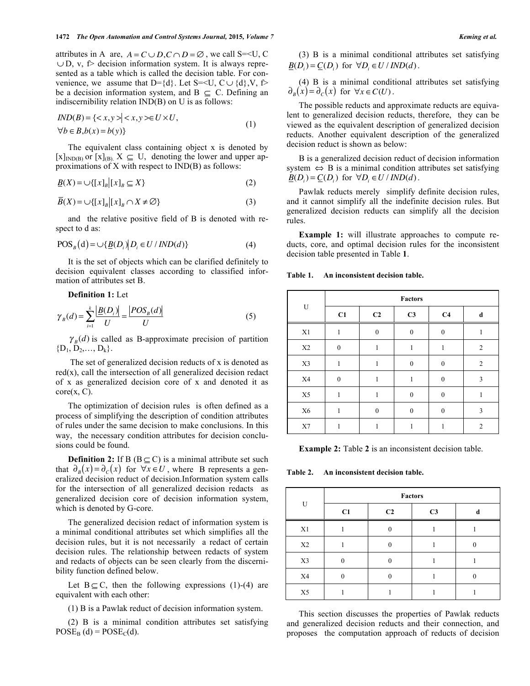attributes in A are,  $A = C \cup D$ ,  $C \cap D = \emptyset$ , we call S=<U, C  $\cup$  D, v,  $\triangleright$  decision information system. It is always represented as a table which is called the decision table. For convenience, we assume that D={d}. Let S=<U, C  $\cup$  {d}, V, f> be a decision information system, and B  $\subseteq$  C. Defining an indiscernibility relation IND(B) on U is as follows:

$$
IND(B) = \{ \langle x, y \rangle \mid \langle x, y \rangle \in U \times U, \n\forall b \in B, b(x) = b(y) \}
$$
\n(1)

The equivalent class containing object x is denoted by  $[x]_{\text{IND}(B)}$  or  $[x]_{\text{(B)}}$ ,  $X \subseteq U$ , denoting the lower and upper approximations of X with respect to IND(B) as follows:

$$
\underline{B}(X) = \bigcup \{ [x]_B | [x]_B \subseteq X \}
$$
 (2)

$$
\overline{B}(X) = \cup \{ [x]_B | [x]_B \cap X \neq \emptyset \}
$$
\n(3)

and the relative positive field of B is denoted with respect to d as:

$$
POS_{B}(d) = \bigcup \{ \underline{B}(D_{i}) \mid D_{i} \in U / \text{IND}(d) \} \tag{4}
$$

It is the set of objects which can be clarified definitely to decision equivalent classes according to classified information of attributes set B.

**Definition 1:** Let

$$
\gamma_B(d) = \sum_{i=1}^{k} \frac{|B(D_i)|}{U} = \frac{|POS_B(d)|}{U}
$$
 (5)

 $\gamma_B(d)$  is called as B-approximate precision of partition  ${D_1, D_2, \ldots, D_k}.$ 

The set of generalized decision reducts of x is denoted as  $red(x)$ , call the intersection of all generalized decision redact of x as generalized decision core of x and denoted it as  $core(x, C)$ .

The optimization of decision rules is often defined as a process of simplifying the description of condition attributes of rules under the same decision to make conclusions. In this way, the necessary condition attributes for decision conclusions could be found.

**Definition 2:** If B ( $B \subseteq C$ ) is a minimal attribute set such that  $\partial_R(x) = \partial_C(x)$  for  $\forall x \in U$ , where B represents a generalized decision reduct of decision.Information system calls for the intersection of all generalized decision redacts as generalized decision core of decision information system, which is denoted by G-core.

The generalized decision redact of information system is a minimal conditional attributes set which simplifies all the decision rules, but it is not necessarily a redact of certain decision rules. The relationship between redacts of system and redacts of objects can be seen clearly from the discernibility function defined below.

Let  $B \subseteq C$ , then the following expressions (1)-(4) are equivalent with each other:

(1) B is a Pawlak reduct of decision information system.

(2) B is a minimal condition attributes set satisfying  $POSE<sub>B</sub>(d) = POSE<sub>C</sub>(d).$ 

(3) B is a minimal conditional attributes set satisfying  $\underline{B}(D_i) = \underline{C}(D_i)$  for  $\forall D_i \in U / \text{IND}(d)$ .

(4) B is a minimal conditional attributes set satisfying  $\partial_R(x) = \partial_C(x)$  for  $\forall x \in C(U)$ .

The possible reducts and approximate reducts are equivalent to generalized decision reducts, therefore, they can be viewed as the equivalent description of generalized decision reducts. Another equivalent description of the generalized decision reduct is shown as below:

B is a generalized decision reduct of decision information system  $\Leftrightarrow$  B is a minimal condition attributes set satisfying  $B(D_i) = C(D_i)$  for  $\forall D_i \in U / \mathit{IND}(d)$ .

Pawlak reducts merely simplify definite decision rules, and it cannot simplify all the indefinite decision rules. But generalized decision reducts can simplify all the decision rules.

**Example 1:** will illustrate approaches to compute reducts, core, and optimal decision rules for the inconsistent decision table presented in Table **1**.

**Table 1. An inconsistent decision table.**

| U             | <b>Factors</b>   |                |                  |                |                |  |
|---------------|------------------|----------------|------------------|----------------|----------------|--|
|               | C1               | C <sub>2</sub> | C <sub>3</sub>   | C <sub>4</sub> | d              |  |
| X1            | 1                | $\mathbf{0}$   | $\boldsymbol{0}$ | $\theta$       | 1              |  |
| $\rm X2$      | $\mathbf{0}$     | 1              | 1                | 1              | $\overline{2}$ |  |
| $\mathbf{X}3$ | $\mathbf{1}$     | 1              | $\boldsymbol{0}$ | $\theta$       | $\overline{2}$ |  |
| X4            | $\boldsymbol{0}$ | 1              | 1                | $\mathbf{0}$   | 3              |  |
| X5            | 1                | 1              | $\mathbf{0}$     | $\theta$       | 1              |  |
| $\rm X6$      | 1                | $\mathbf{0}$   | $\boldsymbol{0}$ | $\theta$       | 3              |  |
| X7            | 1                | 1              | 1                | 1              | $\overline{2}$ |  |

**Example 2:** Table **2** is an inconsistent decision table.

**Table 2. An inconsistent decision table.**

| H        | <b>Factors</b> |                |                |   |  |  |
|----------|----------------|----------------|----------------|---|--|--|
|          | C1             | C <sub>2</sub> | C <sub>3</sub> | d |  |  |
| X1       |                |                |                |   |  |  |
| $\rm X2$ |                |                |                |   |  |  |
| X3       |                |                |                |   |  |  |
| X4       |                |                |                |   |  |  |
| X5       |                |                |                |   |  |  |

This section discusses the properties of Pawlak reducts and generalized decision reducts and their connection, and proposes the computation approach of reducts of decision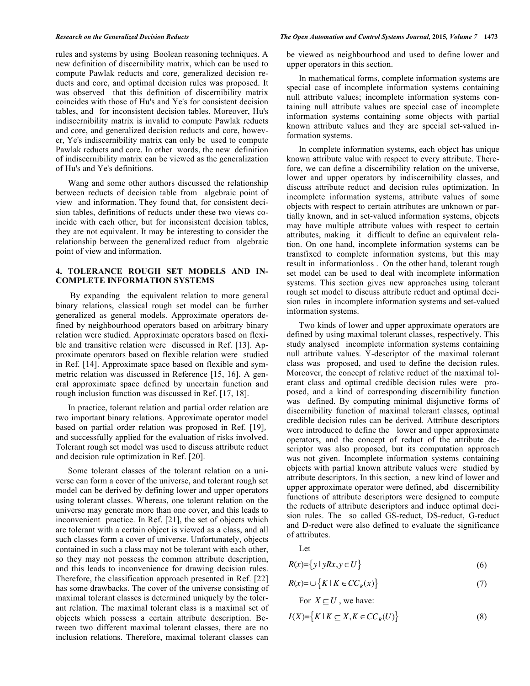rules and systems by using Boolean reasoning techniques. A new definition of discernibility matrix, which can be used to compute Pawlak reducts and core, generalized decision reducts and core, and optimal decision rules was proposed. It was observed that this definition of discernibility matrix coincides with those of Hu's and Ye's for consistent decision tables, and for inconsistent decision tables. Moreover, Hu's indiscernibility matrix is invalid to compute Pawlak reducts and core, and generalized decision reducts and core, however, Ye's indiscernibility matrix can only be used to compute Pawlak reducts and core. In other words, the new definition of indiscernibility matrix can be viewed as the generalization of Hu's and Ye's definitions.

Wang and some other authors discussed the relationship between reducts of decision table from algebraic point of view and information. They found that, for consistent decision tables, definitions of reducts under these two views coincide with each other, but for inconsistent decision tables, they are not equivalent. It may be interesting to consider the relationship between the generalized reduct from algebraic point of view and information.

# **4. TOLERANCE ROUGH SET MODELS AND IN-COMPLETE INFORMATION SYSTEMS**

By expanding the equivalent relation to more general binary relations, classical rough set model can be further generalized as general models. Approximate operators defined by neighbourhood operators based on arbitrary binary relation were studied. Approximate operators based on flexible and transitive relation were discussed in Ref. [13]. Approximate operators based on flexible relation were studied in Ref. [14]. Approximate space based on flexible and symmetric relation was discussed in Reference [15, 16]. A general approximate space defined by uncertain function and rough inclusion function was discussed in Ref. [17, 18].

In practice, tolerant relation and partial order relation are two important binary relations. Approximate operator model based on partial order relation was proposed in Ref. [19], and successfully applied for the evaluation of risks involved. Tolerant rough set model was used to discuss attribute reduct and decision rule optimization in Ref. [20].

Some tolerant classes of the tolerant relation on a universe can form a cover of the universe, and tolerant rough set model can be derived by defining lower and upper operators using tolerant classes. Whereas, one tolerant relation on the universe may generate more than one cover, and this leads to inconvenient practice. In Ref. [21], the set of objects which are tolerant with a certain object is viewed as a class, and all such classes form a cover of universe. Unfortunately, objects contained in such a class may not be tolerant with each other, so they may not possess the common attribute description, and this leads to inconvenience for drawing decision rules. Therefore, the classification approach presented in Ref. [22] has some drawbacks. The cover of the universe consisting of maximal tolerant classes is determined uniquely by the tolerant relation. The maximal tolerant class is a maximal set of objects which possess a certain attribute description. Between two different maximal tolerant classes, there are no inclusion relations. Therefore, maximal tolerant classes can

### *Research on the Generalized Decision Reducts The Open Automation and Control Systems Journal,* **2015***, Volume 7* **1473**

be viewed as neighbourhood and used to define lower and upper operators in this section.

In mathematical forms, complete information systems are special case of incomplete information systems containing null attribute values; incomplete information systems containing null attribute values are special case of incomplete information systems containing some objects with partial known attribute values and they are special set-valued information systems.

In complete information systems, each object has unique known attribute value with respect to every attribute. Therefore, we can define a discernibility relation on the universe, lower and upper operators by indiscernibility classes, and discuss attribute reduct and decision rules optimization. In incomplete information systems, attribute values of some objects with respect to certain attributes are unknown or partially known, and in set-valued information systems, objects may have multiple attribute values with respect to certain attributes, making it difficult to define an equivalent relation. On one hand, incomplete information systems can be transfixed to complete information systems, but this may result in informationloss . On the other hand, tolerant rough set model can be used to deal with incomplete information systems. This section gives new approaches using tolerant rough set model to discuss attribute reduct and optimal decision rules in incomplete information systems and set-valued information systems.

Two kinds of lower and upper approximate operators are defined by using maximal tolerant classes, respectively. This study analysed incomplete information systems containing null attribute values. Y-descriptor of the maximal tolerant class was proposed, and used to define the decision rules. Moreover, the concept of relative reduct of the maximal tolerant class and optimal credible decision rules were proposed, and a kind of corresponding discernibility function was defined. By computing minimal disjunctive forms of discernibility function of maximal tolerant classes, optimal credible decision rules can be derived. Attribute descriptors were introduced to define the lower and upper approximate operators, and the concept of reduct of the attribute descriptor was also proposed, but its computation approach was not given. Incomplete information systems containing objects with partial known attribute values were studied by attribute descriptors. In this section, a new kind of lower and upper approximate operator were defined, abd discernibility functions of attribute descriptors were designed to compute the reducts of attribute descriptors and induce optimal decision rules. The so called GS-reduct, DS-reduct, G-reduct and D-reduct were also defined to evaluate the significance of attributes.

Let

$$
R(x) = \{ y \mid yRx, y \in U \}
$$
\n<sup>(6)</sup>

$$
R(x) = \bigcup \{ K \mid K \in CC_R(x) \} \tag{7}
$$

For 
$$
X \subseteq U
$$
, we have:

$$
I(X) = \left\{ K \mid K \subseteq X, K \in CC_R(U) \right\}
$$
 (8)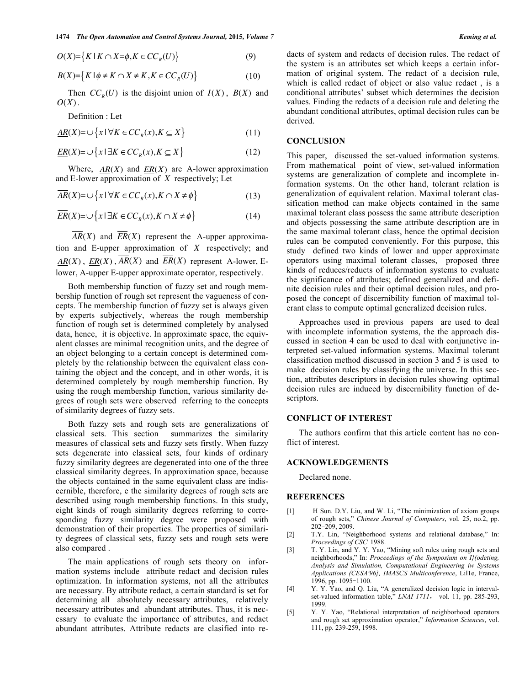$O(X) = \{ K | K \cap X = \phi, K \in CC_R(U) \}$  (9)

$$
B(X) = \left\{ K \mid \phi \neq K \cap X \neq K, K \in CC_R(U) \right\}
$$
 (10)

Then  $CC_R(U)$  is the disjoint union of  $I(X)$ ,  $B(X)$  and *O*(*X*).

Definition : Let

$$
\underline{AR}(X) = \bigcup \{ x \mid \forall K \in CC_R(x), K \subseteq X \}
$$
\n<sup>(11)</sup>

$$
\underline{ER}(X) = \cup \{x \mid \exists K \in CC_R(x), K \subseteq X\}
$$
\n(12)

Where, *AR*(*X*) and *ER*(*X*) are A-lower approximation and E-lower approximation of *X* respectively; Let

$$
\overline{AR}(X) = \bigcup \{ x \mid \forall K \in CC_R(x), K \cap X \neq \phi \}
$$
\n(13)

$$
\overline{ER}(X) = \cup \{x \mid \exists K \in CC_R(x), K \cap X \neq \emptyset\}
$$
\n(14)

*AR*(*X*) and *ER*(*X*) represent the A-upper approximation and E-upper approximation of *X* respectively; and  $AR(X)$ ,  $ER(X)$ ,  $\overline{AR}(X)$  and  $\overline{ER}(X)$  represent A-lower, Elower, A-upper E-upper approximate operator, respectively.

Both membership function of fuzzy set and rough membership function of rough set represent the vagueness of concepts. The membership function of fuzzy set is always given by experts subjectively, whereas the rough membership function of rough set is determined completely by analysed data, hence, it is objective. In approximate space, the equivalent classes are minimal recognition units, and the degree of an object belonging to a certain concept is determined completely by the relationship between the equivalent class containing the object and the concept, and in other words, it is determined completely by rough membership function. By using the rough membership function, various similarity degrees of rough sets were observed referring to the concepts of similarity degrees of fuzzy sets.

Both fuzzy sets and rough sets are generalizations of classical sets. This section summarizes the similarity measures of classical sets and fuzzy sets firstly. When fuzzy sets degenerate into classical sets, four kinds of ordinary fuzzy similarity degrees are degenerated into one of the three classical similarity degrees. In approximation space, because the objects contained in the same equivalent class are indiscernible, therefore, e the similarity degrees of rough sets are described using rough membership functions. In this study, eight kinds of rough similarity degrees referring to corresponding fuzzy similarity degree were proposed with demonstration of their properties. The properties of similarity degrees of classical sets, fuzzy sets and rough sets were also compared .

The main applications of rough sets theory on information systems include attribute redact and decision rules optimization. In information systems, not all the attributes are necessary. By attribute redact, a certain standard is set for determining all absolutely necessary attributes, relatively necessary attributes and abundant attributes. Thus, it is necessary to evaluate the importance of attributes, and redact abundant attributes. Attribute redacts are clasified into redacts of system and redacts of decision rules. The redact of the system is an attributes set which keeps a certain information of original system. The redact of a decision rule, which is called redact of object or also value redact , is a conditional attributes' subset which determines the decision values. Finding the redacts of a decision rule and deleting the abundant conditional attributes, optimal decision rules can be derived.

### **CONCLUSION**

This paper, discussed the set-valued information systems. From mathematical point of view, set-valued information systems are generalization of complete and incomplete information systems. On the other hand, tolerant relation is generalization of equivalent relation. Maximal tolerant classification method can make objects contained in the same maximal tolerant class possess the same attribute description and objects possessing the same attribute description are in the same maximal tolerant class, hence the optimal decision rules can be computed conveniently. For this purpose, this study defined two kinds of lower and upper approximate operators using maximal tolerant classes, proposed three kinds of reduces/reducts of information systems to evaluate the significance of attributes; defined generalized and definite decision rules and their optimal decision rules, and proposed the concept of discernibility function of maximal tolerant class to compute optimal generalized decision rules.

Approaches used in previous papers are used to deal with incomplete information systems, the the approach discussed in section 4 can be used to deal with conjunctive interpreted set-valued information systems. Maximal tolerant classification method discussed in section 3 and 5 is used to make decision rules by classifying the universe. In this section, attributes descriptors in decision rules showing optimal decision rules are induced by discernibility function of descriptors.

## **CONFLICT OF INTEREST**

The authors confirm that this article content has no conflict of interest.

### **ACKNOWLEDGEMENTS**

Declared none.

#### **REFERENCES**

- [1] H Sun. D.Y. Liu, and W. Li, "The minimization of axiom groups of rough sets," *Chinese Journal of Computers*, vol. 25, no.2, pp. 202-209, 2009.
- [2] T.Y. Lin, "Neighborhood systems and relational database," In: *Proceedings of CSC*' 1988.
- [3] T. Y. Lin, and Y. Y. Yao, "Mining soft rules using rough sets and neighborhoods," In: *Proceedings of the Symposium on I}(odeting, Analysis and Simulation, Computational Engineering iw Systems Applications (CESA'96}, IMASCS Multiconference*, Lil1e, France, 1996, pp. 1095-1100.
- [4] Y. Y. Yao, and Q. Liu, "A generalized decision logic in intervalset-valued information table," *LNAI 1711*, vol. 11, pp. 285-293, 1999.
- [5] Y. Y. Yao, "Relational interpretation of neighborhood operators and rough set approximation operator," *Information Sciences*, vol. 111, pp. 239-259, 1998.